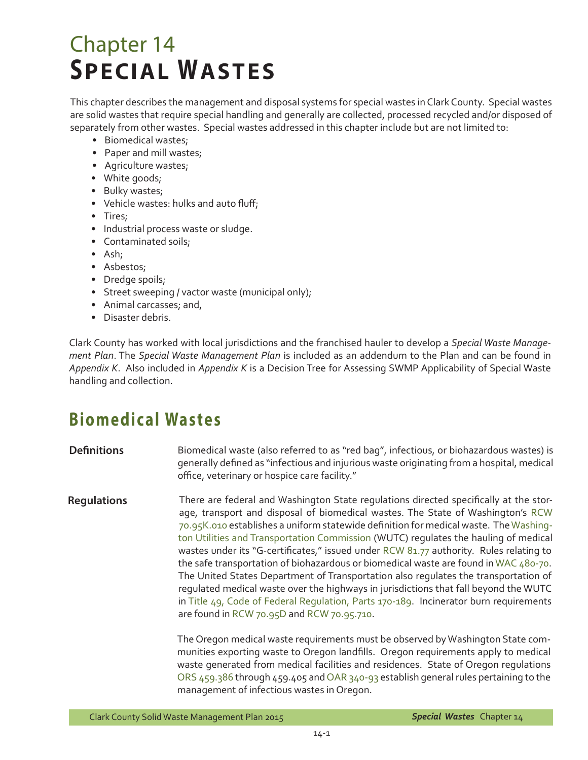# Chapter 14 **SPECIAL WASTES**

This chapter describes the management and disposal systems for special wastes in Clark County. Special wastes are solid wastes that require special handling and generally are collected, processed recycled and/or disposed of separately from other wastes. Special wastes addressed in this chapter include but are not limited to:

- Biomedical wastes;
- Paper and mill wastes;
- Agriculture wastes;
- White goods;
- Bulky wastes;
- Vehicle wastes: hulks and auto fluff;
- Tires;
- Industrial process waste or sludge.
- Contaminated soils;
- • Ash;
- Asbestos;
- Dredge spoils;
- Street sweeping / vactor waste (municipal only);
- Animal carcasses; and,
- • Disaster debris.

Clark County has worked with local jurisdictions and the franchised hauler to develop a *Special Waste Management Plan*. The *Special Waste Management Plan* is included as an addendum to the Plan and can be found in *Appendix K*. Also included in *Appendix K* is a Decision Tree for Assessing SWMP Applicability of Special Waste handling and collection.

## **Biomedic al Wastes**

#### **Definitions** Biomedical waste (also referred to as "red bag", infectious, or biohazardous wastes) is generally defined as "infectious and injurious waste originating from a hospital, medical office, veterinary or hospice care facility."

**Regulations** There are federal and Washington State regulations directed specifically at the storage, transport and disposal of biomedical wastes. The State of Washington's [RCW](http://apps.leg.wa.gov/RCW/default.aspx?cite=70.95K.010)  [70.95K.010](http://apps.leg.wa.gov/RCW/default.aspx?cite=70.95K.010) establishes a uniform statewide definition for medical waste. The[Washing](www.wutc.wa.gov)[ton Utilities and Transportation Commission](www.wutc.wa.gov) (WUTC) regulates the hauling of medical wastes under its "G-certificates," issued under [RCW 81.77 a](http://apps.leg.wa.gov/RCW/default.aspx?cite=81.77)uthority. Rules relating to the safe transportation of biohazardous or biomedical waste are found in [WAC 480-70.](http://apps.leg.wa.gov/WAC/default.aspx?cite=480-70) The United States Department of Transportation also regulates the transportation of regulated medical waste over the highways in jurisdictions that fall beyond the WUTC in [Title 49, Code of Federal Regulation, Parts 170-189.](http://ecfr.gpoaccess.gov/cgi/t/text/text-idx?c=ecfr&rgn=div5&view=text&node=49:2.1.1.3.7&idno=49) Incinerator burn requirements are found in [RCW 70.95D](http://apps.leg.wa.gov/RCW/default.aspx?cite=70.95D) and [RCW 70.95.710](http://apps.leg.wa.gov/RCW/default.aspx?cite=70.95D).

> The Oregon medical waste requirements must be observed by Washington State communities exporting waste to Oregon landfills. Oregon requirements apply to medical waste generated from medical facilities and residences. State of Oregon regulations [ORS 459.386](http://www.leg.state.or.us/ors/459.html) through 459.405 and [OAR 340-93](http://www.deq.state.or.us/lq/sw/disposal/landfillguidance.htm) establish general rules pertaining to the management of infectious wastes in Oregon.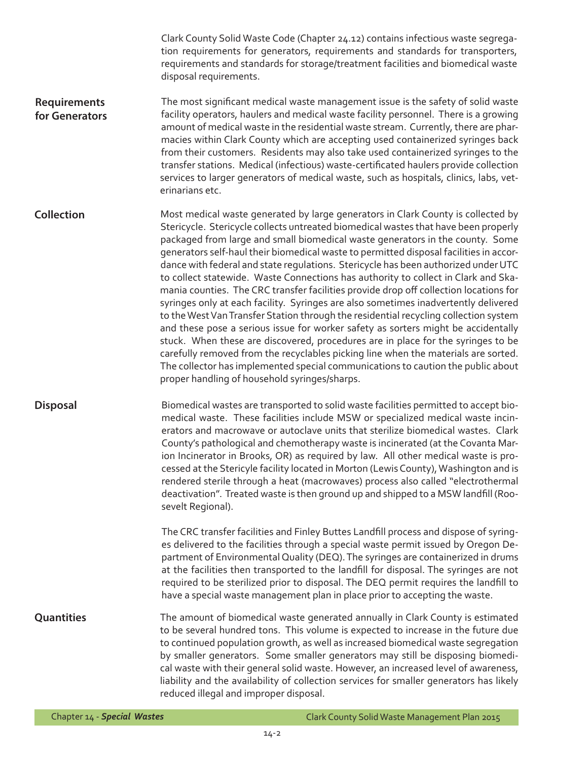Clark County Solid Waste Code (Chapter 24.12) contains infectious waste segregation requirements for generators, requirements and standards for transporters, requirements and standards for storage/treatment facilities and biomedical waste disposal requirements.

**Requirements for Generators** The most significant medical waste management issue is the safety of solid waste facility operators, haulers and medical waste facility personnel. There is a growing amount of medical waste in the residential waste stream. Currently, there are pharmacies within Clark County which are accepting used containerized syringes back from their customers. Residents may also take used containerized syringes to the transfer stations. Medical (infectious) waste-certificated haulers provide collection services to larger generators of medical waste, such as hospitals, clinics, labs, veterinarians etc.

**Collection** Most medical waste generated by large generators in Clark County is collected by Stericycle. Stericycle collects untreated biomedical wastes that have been properly packaged from large and small biomedical waste generators in the county. Some generators self-haul their biomedical waste to permitted disposal facilities in accordance with federal and state regulations. Stericycle has been authorized under UTC to collect statewide. Waste Connections has authority to collect in Clark and Skamania counties. The CRC transfer facilities provide drop off collection locations for syringes only at each facility. Syringes are also sometimes inadvertently delivered to the West Van Transfer Station through the residential recycling collection system and these pose a serious issue for worker safety as sorters might be accidentally stuck. When these are discovered, procedures are in place for the syringes to be carefully removed from the recyclables picking line when the materials are sorted. The collector has implemented special communications to caution the public about proper handling of household syringes/sharps.

**Disposal** Biomedical wastes are transported to solid waste facilities permitted to accept biomedical waste. These facilities include MSW or specialized medical waste incinerators and macrowave or autoclave units that sterilize biomedical wastes. Clark County's pathological and chemotherapy waste is incinerated (at the Covanta Marion Incinerator in Brooks, OR) as required by law. All other medical waste is processed at the Stericyle facility located in Morton (Lewis County), Washington and is rendered sterile through a heat (macrowaves) process also called "electrothermal deactivation". Treated waste is then ground up and shipped to a MSW landfill (Roosevelt Regional).

> The CRC transfer facilities and Finley Buttes Landfill process and dispose of syringes delivered to the facilities through a special waste permit issued by Oregon Department of Environmental Quality (DEQ). The syringes are containerized in drums at the facilities then transported to the landfill for disposal. The syringes are not required to be sterilized prior to disposal. The DEQ permit requires the landfill to have a special waste management plan in place prior to accepting the waste.

**Quantities** The amount of biomedical waste generated annually in Clark County is estimated to be several hundred tons. This volume is expected to increase in the future due to continued population growth, as well as increased biomedical waste segregation by smaller generators. Some smaller generators may still be disposing biomedical waste with their general solid waste. However, an increased level of awareness, liability and the availability of collection services for smaller generators has likely reduced illegal and improper disposal.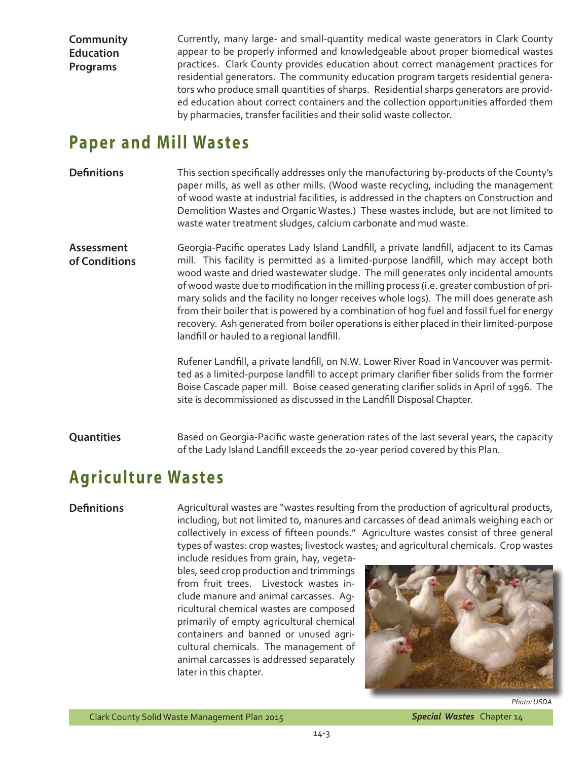**Community Education Programs** 

Currently, many large- and small-quantity medical waste generators in Clark County appear to be properly informed and knowledgeable about proper biomedical wastes practices. Clark County provides education about correct management practices for residential generators. The community education program targets residential generators who produce small quantities of sharps. Residential sharps generators are provided education about correct containers and the collection opportunities afforded them by pharmacies, transfer facilities and their solid waste collector.

### **Paper and Mill Wastes**

### **Definitions**

This section specifically addresses only the manufacturing by-products of the County's paper mills, as well as other mills. (Wood waste recycling, including the management of wood waste at industrial facilities, is addressed in the chapters on Construction and Demolition Wastes and Organic Wastes.) These wastes include, but are not limited to waste water treatment sludges, calcium carbonate and mud waste.

**Assessment of Conditions** Georgia-Pacific operates Lady Island Landfill, a private landfill, adjacent to its Camas mill. This facility is permitted as a limited-purpose landfill, which may accept both wood waste and dried wastewater sludge. The mill generates only incidental amounts of wood waste due to modification in the milling process (i.e. greater combustion of primary solids and the facility no longer receives whole logs). The mill does generate ash from their boiler that is powered by a combination of hog fuel and fossil fuel for energy recovery. Ash generated from boiler operations is either placed in their limited-purpose landfill or hauled to a regional landfill.

> Rufener Landfill, a private landfill, on N.W. Lower River Road inVancouver was permitted as a limited-purpose landfill to accept primary clarifier fiber solids from the former Boise Cascade paper mill. Boise ceased generating clarifier solids in April of 1996. The site is decommissioned as discussed in the Landfill Disposal Chapter.

**Quantities** Based on Georgia-Pacific waste generation rates of the last several years, the capacity of the Lady Island Landfill exceeds the 20-year period covered by this Plan.

### **Agriculture Wastes**

### **Definitions**

Agricultural wastes are "wastes resulting from the production of agricultural products, including, but not limited to, manures and carcasses of dead animals weighing each or collectively in excess of fifteen pounds." Agriculture wastes consist of three general types of wastes: crop wastes; livestock wastes; and agricultural chemicals. Crop wastes

include residues from grain, hay, vegetables, seed crop production and trimmings from fruit trees. Livestock wastes include manure and animal carcasses. Agricultural chemical wastes are composed primarily of empty agricultural chemical containers and banned or unused agricultural chemicals. The management of animal carcasses is addressed separately later in this chapter.

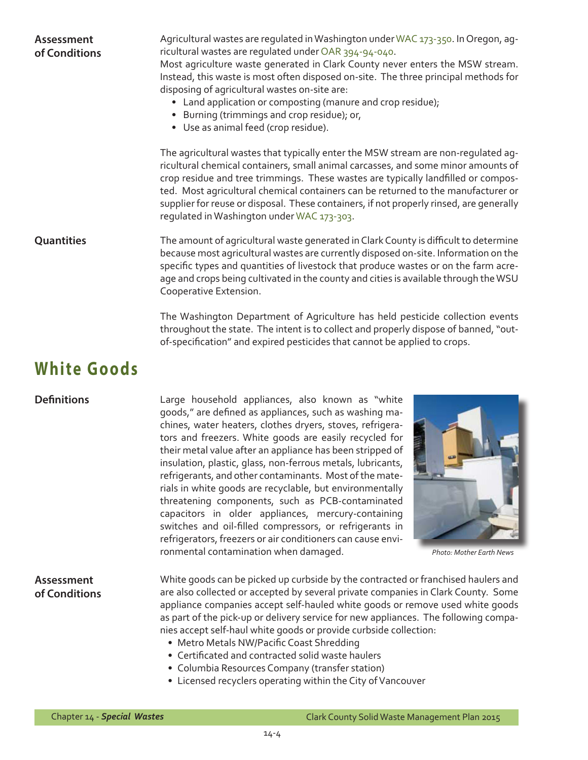| <b>Assessment</b><br>of Conditions | Agricultural wastes are regulated in Washington under WAC 173-350. In Oregon, ag-<br>ricultural wastes are regulated under OAR 394-94-040.<br>Most agriculture waste generated in Clark County never enters the MSW stream.<br>Instead, this waste is most often disposed on-site. The three principal methods for<br>disposing of agricultural wastes on-site are:<br>• Land application or composting (manure and crop residue);<br>• Burning (trimmings and crop residue); or,<br>• Use as animal feed (crop residue).<br>The agricultural wastes that typically enter the MSW stream are non-regulated ag-<br>ricultural chemical containers, small animal carcasses, and some minor amounts of<br>crop residue and tree trimmings. These wastes are typically landfilled or compos-<br>ted. Most agricultural chemical containers can be returned to the manufacturer or<br>supplier for reuse or disposal. These containers, if not properly rinsed, are generally<br>regulated in Washington under WAC 173-303. |
|------------------------------------|------------------------------------------------------------------------------------------------------------------------------------------------------------------------------------------------------------------------------------------------------------------------------------------------------------------------------------------------------------------------------------------------------------------------------------------------------------------------------------------------------------------------------------------------------------------------------------------------------------------------------------------------------------------------------------------------------------------------------------------------------------------------------------------------------------------------------------------------------------------------------------------------------------------------------------------------------------------------------------------------------------------------|
| <b>Quantities</b>                  | The amount of agricultural waste generated in Clark County is difficult to determine<br>because most agricultural wastes are currently disposed on-site. Information on the<br>specific types and quantities of livestock that produce wastes or on the farm acre-<br>age and crops being cultivated in the county and cities is available through the WSU<br>Cooperative Extension.                                                                                                                                                                                                                                                                                                                                                                                                                                                                                                                                                                                                                                   |
|                                    | The Washington Department of Agriculture has held pesticide collection events<br>throughout the state. The intent is to collect and properly dispose of banned, "out-<br>of-specification" and expired pesticides that cannot be applied to crops.                                                                                                                                                                                                                                                                                                                                                                                                                                                                                                                                                                                                                                                                                                                                                                     |
| <b>White Goods</b>                 |                                                                                                                                                                                                                                                                                                                                                                                                                                                                                                                                                                                                                                                                                                                                                                                                                                                                                                                                                                                                                        |
| <b>Definitions</b>                 | Large household appliances, also known as "white<br>goods," are defined as appliances, such as washing ma-<br>chines, water heaters, clothes dryers, stoves, refrigera-<br>tors and freezers. White goods are easily recycled for<br>their metal value after an appliance has been stripped of<br>insulation, plastic, glass, non-ferrous metals, lubricants,<br>refrigerants, and other contaminants. Most of the mate-<br>rials in white goods are recyclable, but environmentally<br>threatening components, such as PCB-contaminated<br>capacitors in older appliances, mercury-containing<br>switches and oil-filled compressors, or refrigerants in<br>refrigerators, freezers or air conditioners can cause envi-<br>ronmental contamination when damaged.<br><b>Photo: Mother Earth News</b>                                                                                                                                                                                                                   |
| Assessment<br>of Conditions        | White goods can be picked up curbside by the contracted or franchised haulers and<br>are also collected or accepted by several private companies in Clark County. Some<br>appliance companies accept self-hauled white goods or remove used white goods<br>as part of the pick-up or delivery service for new appliances. The following compa-<br>nies accept self-haul white goods or provide curbside collection:<br>• Metro Metals NW/Pacific Coast Shredding<br>• Certificated and contracted solid waste haulers<br>• Columbia Resources Company (transfer station)<br>• Licensed recyclers operating within the City of Vancouver                                                                                                                                                                                                                                                                                                                                                                                |
|                                    |                                                                                                                                                                                                                                                                                                                                                                                                                                                                                                                                                                                                                                                                                                                                                                                                                                                                                                                                                                                                                        |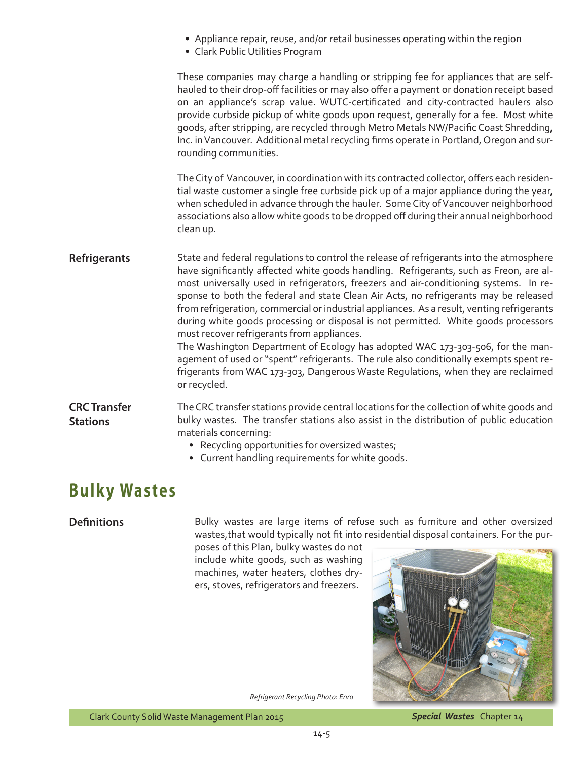- Appliance repair, reuse, and/or retail businesses operating within the region
- • Clark Public Utilities Program

These companies may charge a handling or stripping fee for appliances that are selfhauled to their drop-off facilities or may also offer a payment or donation receipt based on an appliance's scrap value. WUTC-certificated and city-contracted haulers also provide curbside pickup of white goods upon request, generally for a fee. Most white goods, after stripping, are recycled through Metro Metals NW/Pacific Coast Shredding, Inc. in Vancouver. Additional metal recycling firms operate in Portland, Oregon and surrounding communities.

The City of Vancouver, in coordination with its contracted collector, offers each residential waste customer a single free curbside pick up of a major appliance during the year, when scheduled in advance through the hauler. Some City of Vancouver neighborhood associations also allow white goods to be dropped off during their annual neighborhood clean up.

**Refrigerants** State and federal regulations to control the release of refrigerants into the atmosphere have significantly affected white goods handling. Refrigerants, such as Freon, are almost universally used in refrigerators, freezers and air-conditioning systems. In response to both the federal and state Clean Air Acts, no refrigerants may be released from refrigeration, commercial or industrial appliances. As a result, venting refrigerants during white goods processing or disposal is not permitted. White goods processors must recover refrigerants from appliances. The Washington Department of Ecology has adopted WAC 173-303-506, for the man-

agement of used or "spent" refrigerants. The rule also conditionally exempts spent refrigerants from WAC 173-303, Dangerous Waste Regulations, when they are reclaimed or recycled.

**CRC Transfer Stations** The CRC transfer stations provide central locations for the collection of white goods and bulky wastes. The transfer stations also assist in the distribution of public education materials concerning:

- Recycling opportunities for oversized wastes;
- Current handling requirements for white goods.

## **Bulky Wastes**

**Definitions** Bulky wastes are large items of refuse such as furniture and other oversized wastes,that would typically not fit into residential disposal containers. For the pur-

poses of this Plan, bulky wastes do not include white goods, such as washing machines, water heaters, clothes dryers, stoves, refrigerators and freezers.



*Refrigerant Recycling Photo: Enro*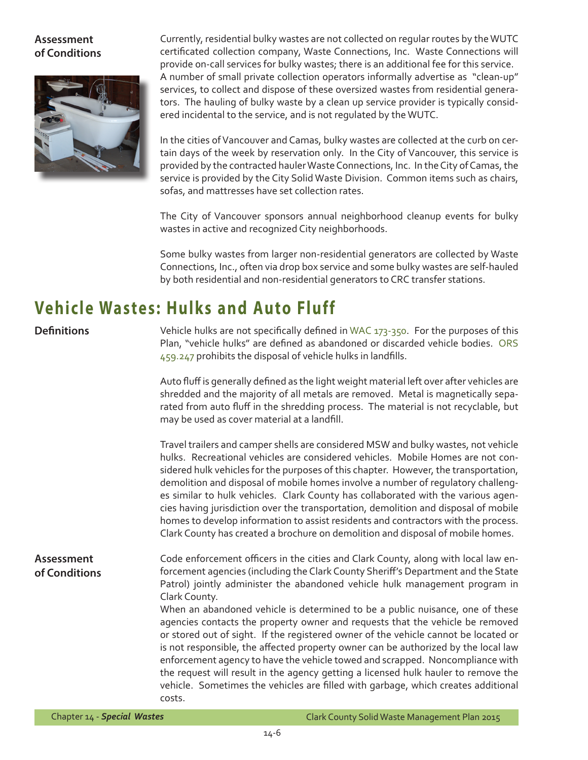### **Assessment of Conditions**



Currently, residential bulky wastes are not collected on regular routes by the WUTC certificated collection company, Waste Connections, Inc. Waste Connections will provide on-call services for bulky wastes; there is an additional fee for this service. A number of small private collection operators informally advertise as "clean-up" services, to collect and dispose of these oversized wastes from residential generators. The hauling of bulky waste by a clean up service provider is typically considered incidental to the service, and is not regulated by the WUTC.

In the cities of Vancouver and Camas, bulky wastes are collected at the curb on certain days of the week by reservation only. In the City of Vancouver, this service is provided by the contracted hauler Waste Connections, Inc. In the City of Camas, the service is provided by the City Solid Waste Division. Common items such as chairs, sofas, and mattresses have set collection rates.

The City of Vancouver sponsors annual neighborhood cleanup events for bulky wastes in active and recognized City neighborhoods.

Some bulky wastes from larger non-residential generators are collected by Waste Connections, Inc., often via drop box service and some bulky wastes are self-hauled by both residential and non-residential generators to CRC transfer stations.

## **Vehicle Wastes: Hulks and Auto Fluff**

### **Definitions**

Vehicle hulks are not specifically defined in [WAC 173-350](http://apps.leg.wa.gov/WAC/default.aspx?cite=173-350). For the purposes of this Plan, "vehicle hulks" are defined as abandoned or discarded vehicle bodies. [ORS](http://www.oregonlaws.org/ors/459.247)  [459.247](http://www.oregonlaws.org/ors/459.247) prohibits the disposal of vehicle hulks in landfills.

Auto fluff is generally defined as the light weight material left over after vehicles are shredded and the majority of all metals are removed. Metal is magnetically separated from auto fluff in the shredding process. The material is not recyclable, but may be used as cover material at a landfill.

Travel trailers and camper shells are considered MSW and bulky wastes, not vehicle hulks. Recreational vehicles are considered vehicles. Mobile Homes are not considered hulk vehicles for the purposes of this chapter. However, the transportation, demolition and disposal of mobile homes involve a number of regulatory challenges similar to hulk vehicles. Clark County has collaborated with the various agencies having jurisdiction over the transportation, demolition and disposal of mobile homes to develop information to assist residents and contractors with the process. Clark County has created a brochure on demolition and disposal of mobile homes.

**Assessment of Conditions** Code enforcement officers in the cities and Clark County, along with local law enforcement agencies (including the Clark County Sheriff's Department and the State Patrol) jointly administer the abandoned vehicle hulk management program in Clark County.

When an abandoned vehicle is determined to be a public nuisance, one of these agencies contacts the property owner and requests that the vehicle be removed or stored out of sight. If the registered owner of the vehicle cannot be located or is not responsible, the affected property owner can be authorized by the local law enforcement agency to have the vehicle towed and scrapped. Noncompliance with the request will result in the agency getting a licensed hulk hauler to remove the vehicle. Sometimes the vehicles are filled with garbage, which creates additional costs.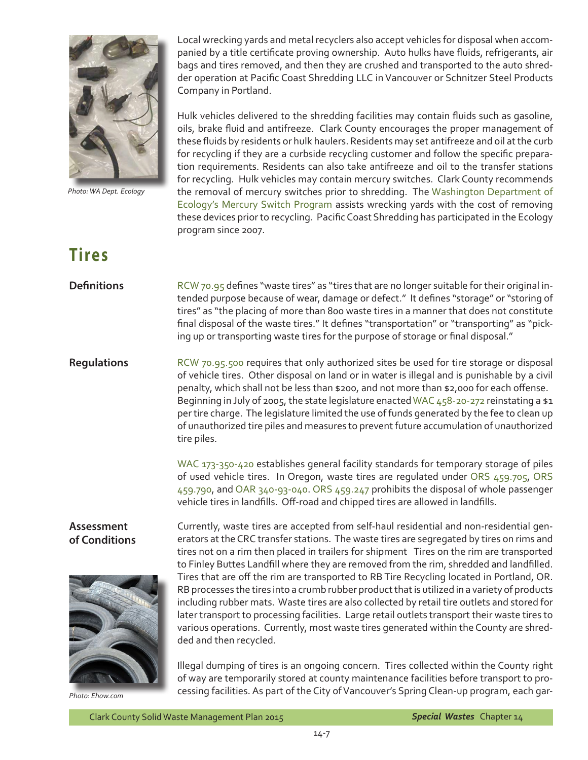

*Photo: WA Dept. Ecology* 

**Tires**

### Local wrecking yards and metal recyclers also accept vehicles for disposal when accompanied by a title certificate proving ownership. Auto hulks have fluids, refrigerants, air bags and tires removed, and then they are crushed and transported to the auto shredder operation at Pacific Coast Shredding LLC in Vancouver or Schnitzer Steel Products Company in Portland.

Hulk vehicles delivered to the shredding facilities may contain fluids such as gasoline, oils, brake fluid and antifreeze. Clark County encourages the proper management of these fluids by residents or hulk haulers. Residents may set antifreeze and oil atthe curb for recycling if they are a curbside recycling customer and follow the specific preparation requirements. Residents can also take antifreeze and oil to the transfer stations for recycling. Hulk vehicles may contain mercury switches. Clark County recommends the removal of mercury switches prior to shredding. The [Washington Department of](http://www.ecy.wa.gov/mercury/mercury_auto_switch_program.html)  [Ecology's Mercury Switch Program](http://www.ecy.wa.gov/mercury/mercury_auto_switch_program.html) assists wrecking yards with the cost of removing these devices priorto recycling. PacificCoast Shredding has participated in the Ecology program since 2007.

#### **Definitions** [RCW 70.95](http://apps.leg.wa.gov/RCW/default.aspx?cite=70.95) defines "waste tires" as "tires that are no longer suitable for their original intended purpose because of wear, damage or defect." It defines "storage" or "storing of tires" as "the placing of more than 800 waste tires in a manner that does not constitute final disposal of the waste tires." It defines "transportation" or "transporting" as "picking up or transporting waste tires for the purpose of storage or final disposal."

**Regulations** [RCW 70.95.500](http://apps.leg.wa.gov/RCW/default.aspx?cite=70.95.500) requires that only authorized sites be used for tire storage or disposal of vehicle tires. Other disposal on land or in water is illegal and is punishable by a civil penalty, which shall not be less than \$200, and not more than \$2,000 for each offense. Beginning in July of 2005, the state legislature enacted [WAC 458-20-272](http://apps.leg.wa.gov/WAC/default.aspx?cite=458-20-272) reinstating a \$1 per tire charge. The legislature limited the use of funds generated by the fee to clean up of unauthorized tire piles and measures to prevent future accumulation of unauthorized tire piles.

> WAC 173-350-420 establishes general facility standards for temporary storage of piles of used vehicle tires. In Oregon, waste tires are regulated under [ORS 459.705](http://www.oregonlaws.org/ors/459.705), [ORS](http://www.oregonlaws.org/ors/459.790)  [459.790](http://www.oregonlaws.org/ors/459.790), and [OAR 340-93-040.](www.deq.state.or.us/lq/pubs/docs/sw/SWGuidance09.pdf �) [ORS 459.247](http://www.oregonlaws.org/ors/459.247) prohibits the disposal of whole passenger vehicle tires in landfills. Off-road and chipped tires are allowed in landfills.

### **Assessment of Conditions**



*Photo: Ehow.com*

Currently, waste tires are accepted from self-haul residential and non-residential generators at the CRC transfer stations. The waste tires are segregated by tires on rims and tires not on a rim then placed in trailers for shipment Tires on the rim are transported to Finley Buttes Landfill where they are removed from the rim, shredded and landfilled. Tires that are off the rim are transported to RB Tire Recycling located in Portland, OR. RB processes the tires into a crumb rubber product that is utilized in a variety of products including rubber mats. Waste tires are also collected by retail tire outlets and stored for later transport to processing facilities. Large retail outlets transport their waste tires to various operations. Currently, most waste tires generated within the County are shredded and then recycled.

Illegal dumping of tires is an ongoing concern. Tires collected within the County right of way are temporarily stored at county maintenance facilities before transport to processing facilities. As part of the City of Vancouver's Spring Clean-up program, each gar-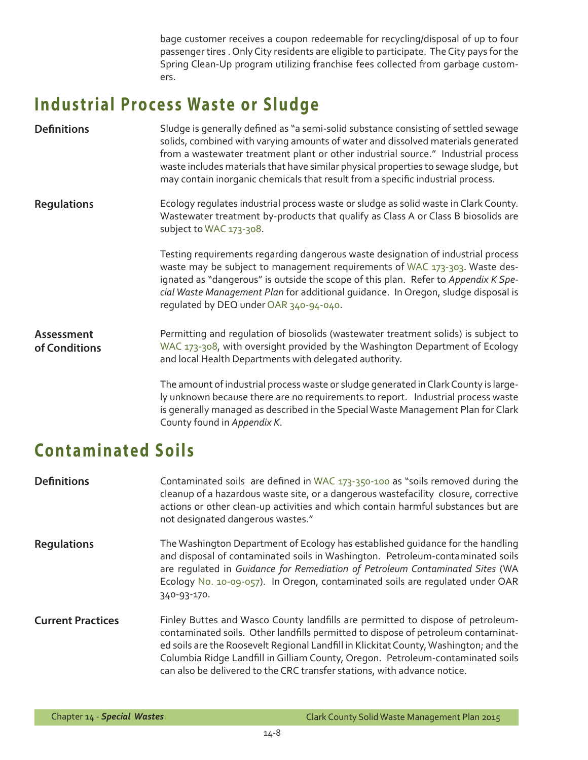bage customer receives a coupon redeemable for recycling/disposal of up to four passenger tires . Only City residents are eligible to participate. The City pays for the Spring Clean-Up program utilizing franchise fees collected from garbage customers.

# **Industrial Process Waste or Sludge**

| <b>Definitions</b>                 | Sludge is generally defined as "a semi-solid substance consisting of settled sewage<br>solids, combined with varying amounts of water and dissolved materials generated<br>from a wastewater treatment plant or other industrial source." Industrial process<br>waste includes materials that have similar physical properties to sewage sludge, but<br>may contain inorganic chemicals that result from a specific industrial process. |
|------------------------------------|-----------------------------------------------------------------------------------------------------------------------------------------------------------------------------------------------------------------------------------------------------------------------------------------------------------------------------------------------------------------------------------------------------------------------------------------|
| <b>Regulations</b>                 | Ecology regulates industrial process waste or sludge as solid waste in Clark County.<br>Wastewater treatment by-products that qualify as Class A or Class B biosolids are<br>subject to WAC 173-308.                                                                                                                                                                                                                                    |
|                                    | Testing requirements regarding dangerous waste designation of industrial process<br>waste may be subject to management requirements of WAC 173-303. Waste des-<br>ignated as "dangerous" is outside the scope of this plan. Refer to Appendix K Spe-<br>cial Waste Management Plan for additional guidance. In Oregon, sludge disposal is<br>regulated by DEQ under OAR 340-94-040.                                                     |
| <b>Assessment</b><br>of Conditions | Permitting and regulation of biosolids (wastewater treatment solids) is subject to<br>WAC 173-308, with oversight provided by the Washington Department of Ecology<br>and local Health Departments with delegated authority.                                                                                                                                                                                                            |
|                                    | The amount of industrial process waste or sludge generated in Clark County is large-<br>ly unknown because there are no requirements to report. Industrial process waste<br>is generally managed as described in the Special Waste Management Plan for Clark<br>County found in Appendix K.                                                                                                                                             |

# **Contaminated Soils**

| <b>Definitions</b>       | Contaminated soils are defined in WAC 173-350-100 as "soils removed during the<br>cleanup of a hazardous waste site, or a dangerous wastefacility closure, corrective<br>actions or other clean-up activities and which contain harmful substances but are<br>not designated dangerous wastes."                                                                                                                              |
|--------------------------|------------------------------------------------------------------------------------------------------------------------------------------------------------------------------------------------------------------------------------------------------------------------------------------------------------------------------------------------------------------------------------------------------------------------------|
| <b>Regulations</b>       | The Washington Department of Ecology has established guidance for the handling<br>and disposal of contaminated soils in Washington. Petroleum-contaminated soils<br>are regulated in Guidance for Remediation of Petroleum Contaminated Sites (WA<br>Ecology No. 10-09-057). In Oregon, contaminated soils are regulated under OAR<br>340-93-170.                                                                            |
| <b>Current Practices</b> | Finley Buttes and Wasco County landfills are permitted to dispose of petroleum-<br>contaminated soils. Other landfills permitted to dispose of petroleum contaminat-<br>ed soils are the Roosevelt Regional Landfill in Klickitat County, Washington; and the<br>Columbia Ridge Landfill in Gilliam County, Oregon. Petroleum-contaminated soils<br>can also be delivered to the CRC transfer stations, with advance notice. |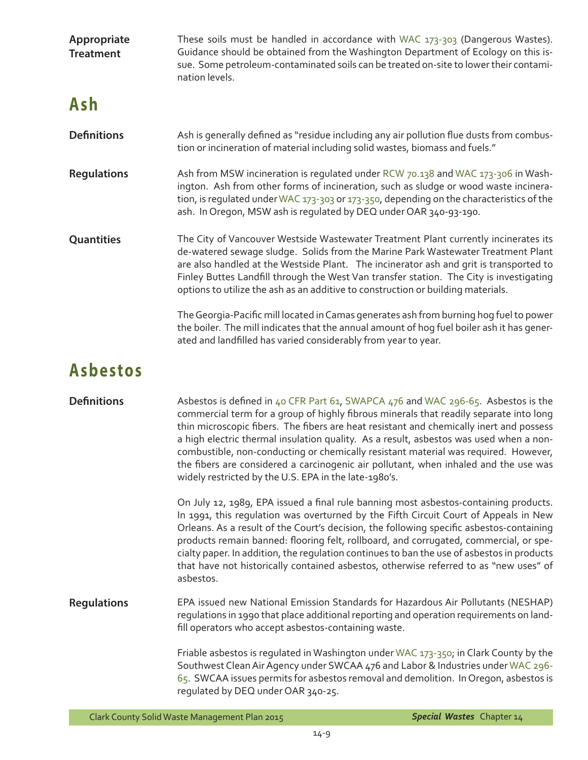| Appropriate<br><b>Treatment</b> | These soils must be handled in accordance with WAC 173-303 (Dangerous Wastes).<br>Guidance should be obtained from the Washington Department of Ecology on this is-<br>sue. Some petroleum-contaminated soils can be treated on-site to lower their contami-<br>nation levels.                                                                                                                                                                                                                                                                                                                           |
|---------------------------------|----------------------------------------------------------------------------------------------------------------------------------------------------------------------------------------------------------------------------------------------------------------------------------------------------------------------------------------------------------------------------------------------------------------------------------------------------------------------------------------------------------------------------------------------------------------------------------------------------------|
| Ash                             |                                                                                                                                                                                                                                                                                                                                                                                                                                                                                                                                                                                                          |
| <b>Definitions</b>              | Ash is generally defined as "residue including any air pollution flue dusts from combus-<br>tion or incineration of material including solid wastes, biomass and fuels."                                                                                                                                                                                                                                                                                                                                                                                                                                 |
| <b>Regulations</b>              | Ash from MSW incineration is regulated under RCW 70.138 and WAC 173-306 in Wash-<br>ington. Ash from other forms of incineration, such as sludge or wood waste incinera-<br>tion, is regulated under WAC 173-303 or 173-350, depending on the characteristics of the<br>ash. In Oregon, MSW ash is regulated by DEQ under OAR 340-93-190.                                                                                                                                                                                                                                                                |
| Quantities                      | The City of Vancouver Westside Wastewater Treatment Plant currently incinerates its<br>de-watered sewage sludge. Solids from the Marine Park Wastewater Treatment Plant<br>are also handled at the Westside Plant. The incinerator ash and grit is transported to<br>Finley Buttes Landfill through the West Van transfer station. The City is investigating<br>options to utilize the ash as an additive to construction or building materials.                                                                                                                                                         |
|                                 | The Georgia-Pacific mill located in Camas generates ash from burning hog fuel to power<br>the boiler. The mill indicates that the annual amount of hog fuel boiler ash it has gener-<br>ated and landfilled has varied considerably from year to year.                                                                                                                                                                                                                                                                                                                                                   |
| <b>Asbestos</b>                 |                                                                                                                                                                                                                                                                                                                                                                                                                                                                                                                                                                                                          |
| <b>Definitions</b>              | Asbestos is defined in 40 CFR Part 61, SWAPCA 476 and WAC 296-65. Asbestos is the<br>commercial term for a group of highly fibrous minerals that readily separate into long<br>thin microscopic fibers. The fibers are heat resistant and chemically inert and possess<br>a high electric thermal insulation quality. As a result, asbestos was used when a non-<br>combustible, non-conducting or chemically resistant material was required. However,<br>the fibers are considered a carcinogenic air pollutant, when inhaled and the use was<br>widely restricted by the U.S. EPA in the late-1980's. |
|                                 | On July 12, 1989, EPA issued a final rule banning most asbestos-containing products.<br>In 1991, this regulation was overturned by the Fifth Circuit Court of Appeals in New<br>Orleans. As a result of the Court's decision, the following specific asbestos-containing<br>products remain banned: flooring felt, rollboard, and corrugated, commercial, or spe-<br>cialty paper. In addition, the regulation continues to ban the use of asbestos in products<br>that have not historically contained asbestos, otherwise referred to as "new uses" of<br>asbestos.                                    |
| <b>Regulations</b>              | EPA issued new National Emission Standards for Hazardous Air Pollutants (NESHAP)<br>regulations in 1990 that place additional reporting and operation requirements on land-<br>fill operators who accept asbestos-containing waste.                                                                                                                                                                                                                                                                                                                                                                      |
|                                 | Friable asbestos is regulated in Washington under WAC 173-350; in Clark County by the<br>Southwest Clean Air Agency under SWCAA 476 and Labor & Industries under WAC 296-<br>65. SWCAA issues permits for asbestos removal and demolition. In Oregon, asbestos is<br>regulated by DEQ under OAR 340-25.                                                                                                                                                                                                                                                                                                  |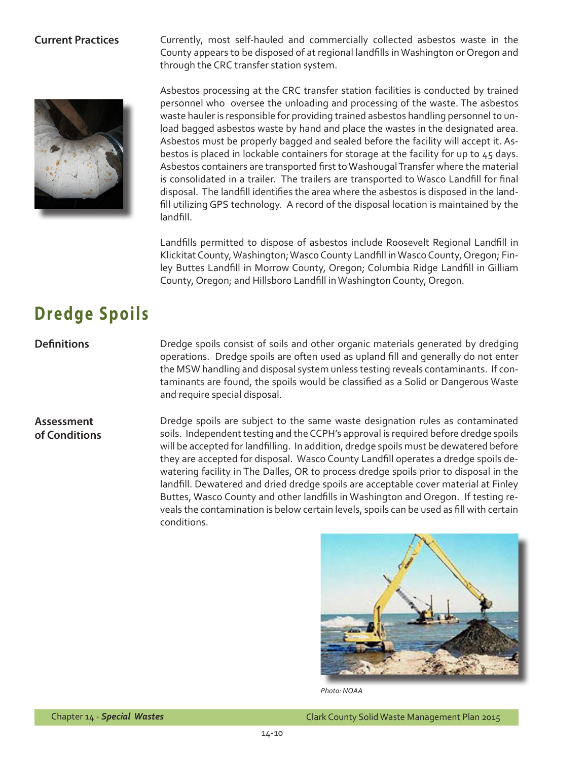**Current Practices** Currently, most self-hauled and commercially collected asbestos waste in the County appears to be disposed of at regional landfills inWashington or Oregon and through the CRC transfer station system.



Asbestos processing at the CRC transfer station facilities is conducted by trained personnel who oversee the unloading and processing of the waste. The asbestos waste hauler is responsible for providing trained asbestos handling personnel to unload bagged asbestos waste by hand and place the wastes in the designated area. Asbestos must be properly bagged and sealed before the facility will accept it. Asbestos is placed in lockable containers for storage at the facility for up to 45 days. Asbestos containers are transported first to Washougal Transfer where the material is consolidated in a trailer. The trailers are transported to Wasco Landfill for final disposal. The landfill identifies the area where the asbestos is disposed in the landfill utilizing GPS technology. A record of the disposal location is maintained by the landfill.

Landfills permitted to dispose of asbestos include Roosevelt Regional Landfill in Klickitat County, Washington; Wasco County Landfill in Wasco County, Oregon; Finley Buttes Landfill in Morrow County, Oregon; Columbia Ridge Landfill in Gilliam County, Oregon; and Hillsboro Landfill in Washington County, Oregon.

# **Dredge Spoils**

**Definitions** Dredge spoils consist of soils and other organic materials generated by dredging operations. Dredge spoils are often used as upland fill and generally do not enter the MSW handling and disposal system unless testing reveals contaminants. If contaminants are found, the spoils would be classified as a Solid or Dangerous Waste and require special disposal.

### **Assessment of Conditions**

Dredge spoils are subject to the same waste designation rules as contaminated soils. Independent testing and the CCPH's approval is required before dredge spoils will be accepted forlandfilling. In addition, dredge spoils must be dewatered before they are accepted for disposal. Wasco County Landfill operates a dredge spoils dewatering facility in The Dalles, OR to process dredge spoils prior to disposal in the landfill. Dewatered and dried dredge spoils are acceptable cover material at Finley Buttes, Wasco County and other landfills in Washington and Oregon. If testing reveals the contamination is below certain levels, spoils can be used as fill with certain conditions.



*Photo: NOAA*

Chapter 14 - *Special Wastes* Clark County Solid Waste Management Plan 2015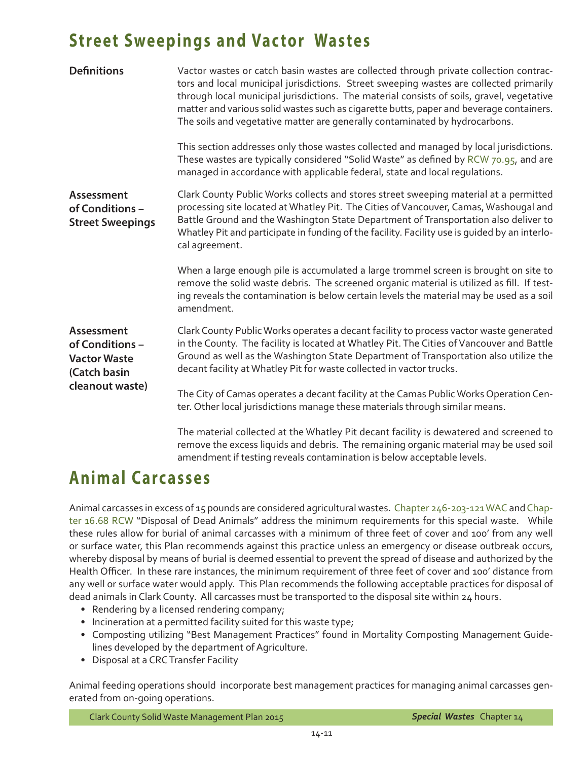### **Street Sweepings and Vactor Wastes**

| <b>Definitions</b>                                                                             | Vactor wastes or catch basin wastes are collected through private collection contrac-<br>tors and local municipal jurisdictions. Street sweeping wastes are collected primarily<br>through local municipal jurisdictions. The material consists of soils, gravel, vegetative<br>matter and various solid wastes such as cigarette butts, paper and beverage containers.<br>The soils and vegetative matter are generally contaminated by hydrocarbons. |
|------------------------------------------------------------------------------------------------|--------------------------------------------------------------------------------------------------------------------------------------------------------------------------------------------------------------------------------------------------------------------------------------------------------------------------------------------------------------------------------------------------------------------------------------------------------|
|                                                                                                | This section addresses only those wastes collected and managed by local jurisdictions.<br>These wastes are typically considered "Solid Waste" as defined by RCW 70.95, and are<br>managed in accordance with applicable federal, state and local regulations.                                                                                                                                                                                          |
| Assessment<br>of Conditions -<br><b>Street Sweepings</b>                                       | Clark County Public Works collects and stores street sweeping material at a permitted<br>processing site located at Whatley Pit. The Cities of Vancouver, Camas, Washougal and<br>Battle Ground and the Washington State Department of Transportation also deliver to<br>Whatley Pit and participate in funding of the facility. Facility use is guided by an interlo-<br>cal agreement.                                                               |
|                                                                                                | When a large enough pile is accumulated a large trommel screen is brought on site to<br>remove the solid waste debris. The screened organic material is utilized as fill. If test-<br>ing reveals the contamination is below certain levels the material may be used as a soil<br>amendment.                                                                                                                                                           |
| <b>Assessment</b><br>of Conditions -<br><b>Vactor Waste</b><br>(Catch basin<br>cleanout waste) | Clark County Public Works operates a decant facility to process vactor waste generated<br>in the County. The facility is located at Whatley Pit. The Cities of Vancouver and Battle<br>Ground as well as the Washington State Department of Transportation also utilize the<br>decant facility at Whatley Pit for waste collected in vactor trucks.                                                                                                    |
|                                                                                                | The City of Camas operates a decant facility at the Camas Public Works Operation Cen-<br>ter. Other local jurisdictions manage these materials through similar means.                                                                                                                                                                                                                                                                                  |
|                                                                                                | The material collected at the Whatley Pit decant facility is dewatered and screened to<br>remove the excess liquids and debris. The remaining organic material may be used soil<br>amendment if testing reveals contamination is below acceptable levels.                                                                                                                                                                                              |

### **Animal Carcasses**

Animal carcasses in excess of 15 pounds are considered agricultural wastes. [Chapter 246-203-121 WAC](http://apps.leg.wa.gov/WAC/default.aspx?cite=246-203-121) and [Chap](http://apps.leg.wa.gov/RCW/default.aspx?cite=16.68)[ter 16.68 RCW](http://apps.leg.wa.gov/RCW/default.aspx?cite=16.68) "Disposal of Dead Animals" address the minimum requirements for this special waste. While these rules allow for burial of animal carcasses with a minimum of three feet of cover and 100' from any well or surface water, this Plan recommends against this practice unless an emergency or disease outbreak occurs, whereby disposal by means of burial is deemed essential to prevent the spread of disease and authorized by the Health Officer. In these rare instances, the minimum requirement of three feet of cover and 100' distance from any well or surface water would apply. This Plan recommends the following acceptable practices for disposal of dead animals in Clark County. All carcasses must be transported to the disposal site within 24 hours.

- Rendering by a licensed rendering company;
- Incineration at a permitted facility suited for this waste type;
- Composting utilizing "Best Management Practices" found in Mortality Composting Management Guidelines developed by the department of Agriculture.
- • Disposal at a CRC Transfer Facility

Animal feeding operations should incorporate best management practices for managing animal carcasses generated from on-going operations.

Clark County Solid Waste Management Plan 2015 *Special Wastes* Chapter 14